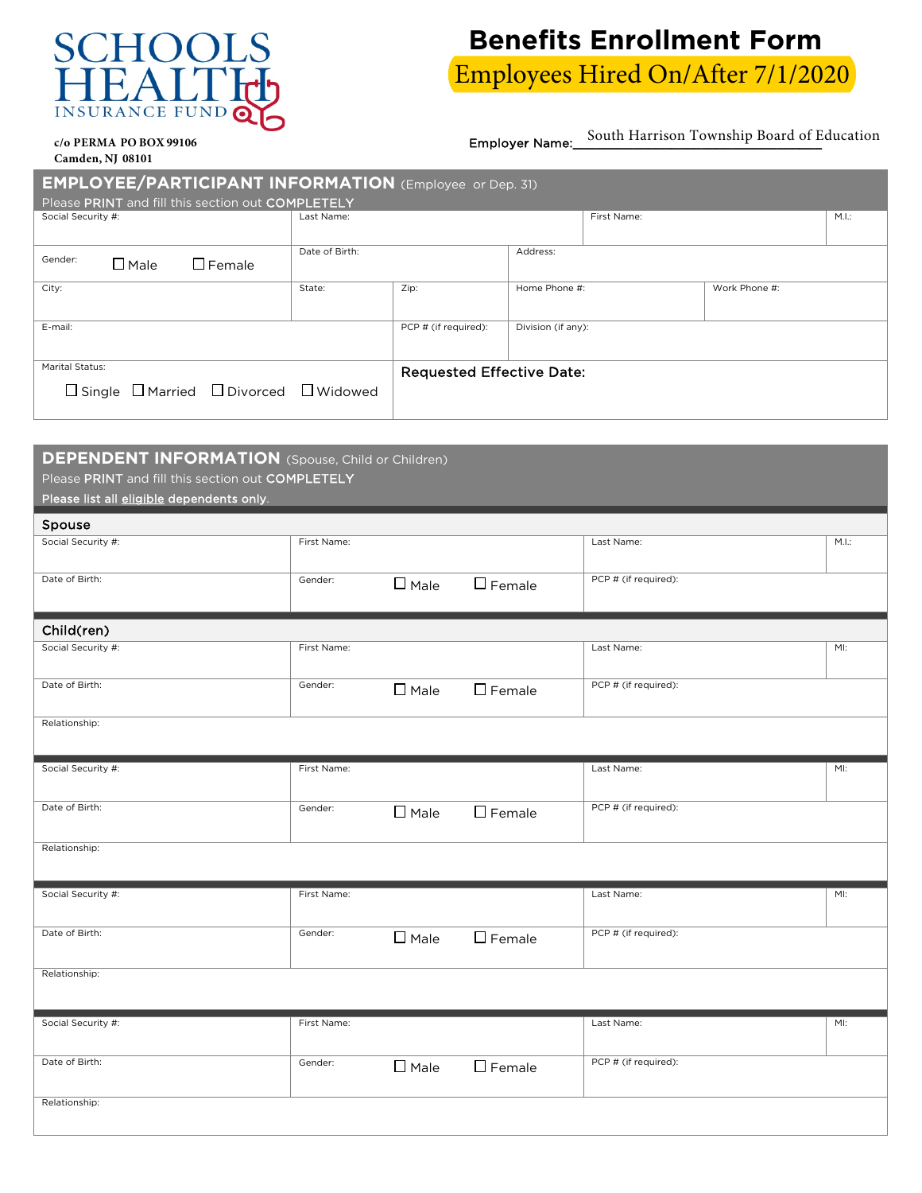## **SURANCE FU**  $\mathbf{I}$

## **Benefits Enrollment Form** Employees Hired On/After 7/1/2020

**c/o PERMA PO BOX 99106** Employer Name: <u>South Harrison Township Board of Education</u>

**Camden, NJ 08101**

| Camuch, IV, VOIVI                                             |                |                                  |                    |             |               |      |  |  |  |
|---------------------------------------------------------------|----------------|----------------------------------|--------------------|-------------|---------------|------|--|--|--|
| <b>EMPLOYEE/PARTICIPANT INFORMATION</b> (Employee or Dep. 31) |                |                                  |                    |             |               |      |  |  |  |
| Please PRINT and fill this section out COMPLETELY             |                |                                  |                    |             |               |      |  |  |  |
| Social Security #:                                            | Last Name:     |                                  |                    | First Name: |               | M.L. |  |  |  |
| Gender:<br>$\Box$ Female<br>$\Box$ Male                       | Date of Birth: |                                  | Address:           |             |               |      |  |  |  |
| City:                                                         | State:         | Zip:                             | Home Phone #:      |             | Work Phone #: |      |  |  |  |
| E-mail:                                                       |                | PCP # (if required):             | Division (if any): |             |               |      |  |  |  |
| Marital Status:                                               |                | <b>Requested Effective Date:</b> |                    |             |               |      |  |  |  |
| $\Box$ Single $\Box$ Married $\Box$ Divorced $\Box$ Widowed   |                |                                  |                    |             |               |      |  |  |  |

## **DEPENDENT INFORMATION** (Spouse, Child or Children)

Please PRINT and fill this section out COMPLETELY

Please list all eligible dependents only.

| Spouse             |             |                |                  |                      |      |
|--------------------|-------------|----------------|------------------|----------------------|------|
| Social Security #: | First Name: |                |                  | Last Name:           | M.L. |
| Date of Birth:     | Gender:     | $\square$ Male | $\square$ Female | PCP # (if required): |      |
| Child(ren)         |             |                |                  |                      |      |
| Social Security #: | First Name: |                |                  | Last Name:           | MI:  |
| Date of Birth:     | Gender:     | $\square$ Male | $\square$ Female | PCP # (if required): |      |
| Relationship:      |             |                |                  |                      |      |
| Social Security #: | First Name: |                |                  | Last Name:           | MI:  |
| Date of Birth:     | Gender:     | $\square$ Male | $\Box$ Female    | PCP # (if required): |      |
| Relationship:      |             |                |                  |                      |      |
| Social Security #: | First Name: |                |                  | Last Name:           | MI:  |
| Date of Birth:     | Gender:     | $\square$ Male | $\square$ Female | PCP # (if required): |      |
| Relationship:      |             |                |                  |                      |      |
| Social Security #: | First Name: |                |                  | Last Name:           | MI:  |
| Date of Birth:     | Gender:     | $\Box$ Male    | $\Box$ Female    | PCP # (if required): |      |
| Relationship:      |             |                |                  |                      |      |